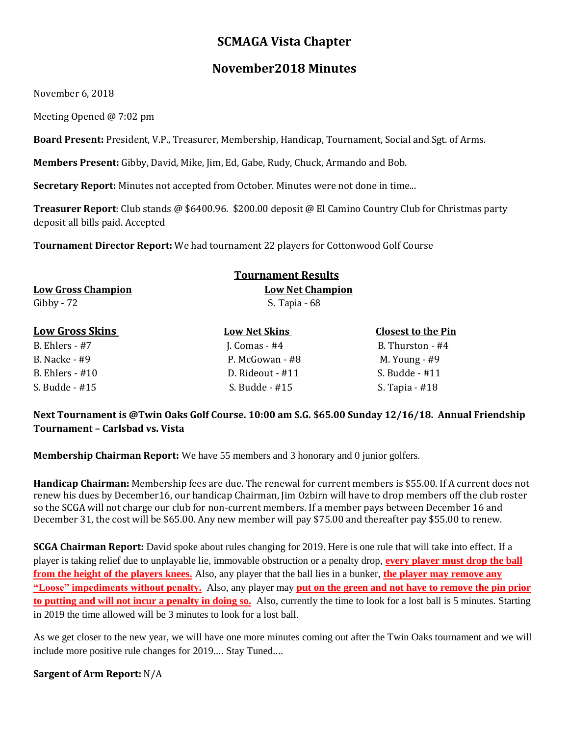# **SCMAGA Vista Chapter**

## **November2018 Minutes**

November 6, 2018

Meeting Opened @ 7:02 pm

**Board Present:** President, V.P., Treasurer, Membership, Handicap, Tournament, Social and Sgt. of Arms.

**Members Present:** Gibby, David, Mike, Jim, Ed, Gabe, Rudy, Chuck, Armando and Bob.

**Secretary Report:** Minutes not accepted from October. Minutes were not done in time...

**Treasurer Report**: Club stands @ \$6400.96. \$200.00 deposit @ El Camino Country Club for Christmas party deposit all bills paid. Accepted

**Tournament Director Report:** We had tournament 22 players for Cottonwood Golf Course

|                           | <b>Tournament Results</b>                |                           |
|---------------------------|------------------------------------------|---------------------------|
| <b>Low Gross Champion</b> | <b>Low Net Champion</b><br>S. Tapia - 68 |                           |
| Gibby - $72$              |                                          |                           |
| <b>Low Gross Skins</b>    | <b>Low Net Skins</b>                     | <b>Closest to the Pin</b> |
| B. Ehlers - $#7$          | J. Comas $-$ #4                          | B. Thurston - #4          |
| B. Nacke - #9             | P. McGowan - #8                          | M. Young $-$ #9           |

B. Ehlers - #10 D. Rideout - #11 S. Budde - #11

S. Budde - #15 S. Budde - #15 S. Tapia - #18 **Next Tournament is @Twin Oaks Golf Course. 10:00 am S.G. \$65.00 Sunday 12/16/18. Annual Friendship Tournament – Carlsbad vs. Vista**

**Membership Chairman Report:** We have 55 members and 3 honorary and 0 junior golfers.

**Handicap Chairman:** Membership fees are due. The renewal for current members is \$55.00. If A current does not renew his dues by December16, our handicap Chairman, Jim Ozbirn will have to drop members off the club roster so the SCGA will not charge our club for non-current members. If a member pays between December 16 and December 31, the cost will be \$65.00. Any new member will pay \$75.00 and thereafter pay \$55.00 to renew.

**SCGA Chairman Report:** David spoke about rules changing for 2019. Here is one rule that will take into effect. If a player is taking relief due to unplayable lie, immovable obstruction or a penalty drop, **every player must drop the ball from the height of the players knees.** Also, any player that the ball lies in a bunker, **the player may remove any "Loose" impediments without penalty.** Also, any player may **put on the green and not have to remove the pin prior to putting and will not incur a penalty in doing so.** Also, currently the time to look for a lost ball is 5 minutes. Starting in 2019 the time allowed will be 3 minutes to look for a lost ball.

As we get closer to the new year, we will have one more minutes coming out after the Twin Oaks tournament and we will include more positive rule changes for 2019.... Stay Tuned....

**Sargent of Arm Report:** N/A